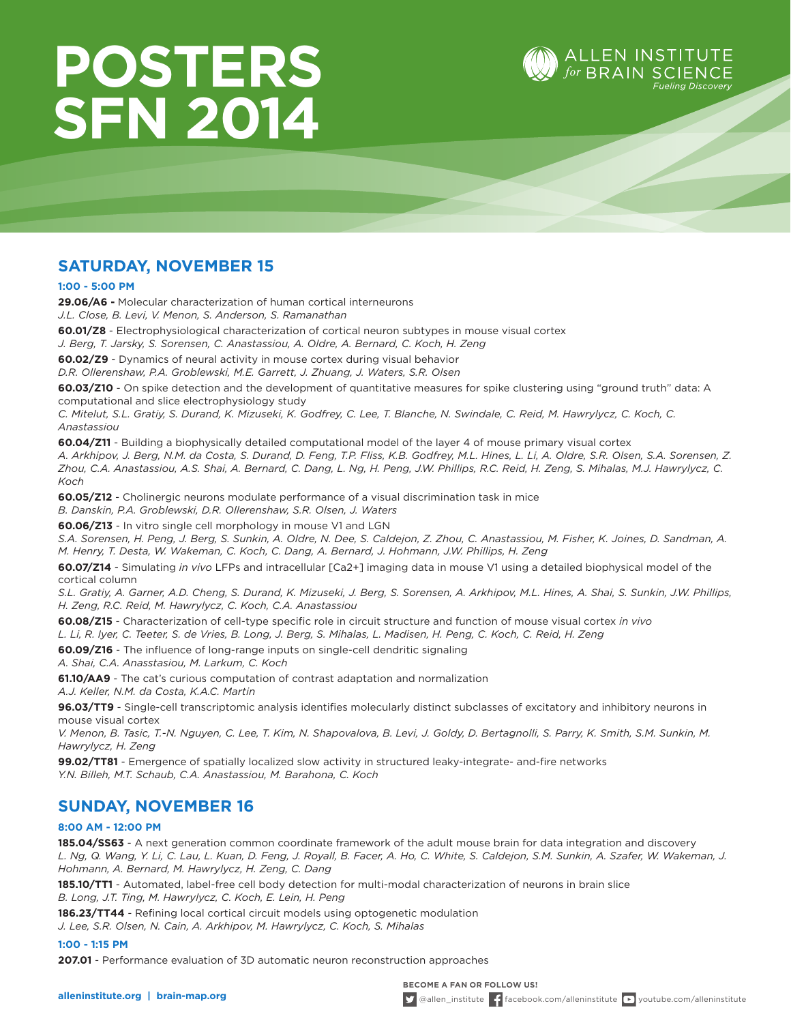# **POSTERS SFN 2014**



# **SATURDAY, NOVEMBER 15**

**1:00 - 5:00 PM**

**29.06/A6 -** Molecular characterization of human cortical interneurons

*J.L. Close, B. Levi, V. Menon, S. Anderson, S. Ramanathan* 

**60.01/Z8** - Electrophysiological characterization of cortical neuron subtypes in mouse visual cortex

*J. Berg, T. Jarsky, S. Sorensen, C. Anastassiou, A. Oldre, A. Bernard, C. Koch, H. Zeng*

**60.02/Z9** - Dynamics of neural activity in mouse cortex during visual behavior

*D.R. Ollerenshaw, P.A. Groblewski, M.E. Garrett, J. Zhuang, J. Waters, S.R. Olsen*

**60.03/Z10** - On spike detection and the development of quantitative measures for spike clustering using "ground truth" data: A computational and slice electrophysiology study

*C. Mitelut, S.L. Gratiy, S. Durand, K. Mizuseki, K. Godfrey, C. Lee, T. Blanche, N. Swindale, C. Reid, M. Hawrylycz, C. Koch, C. Anastassiou*

**60.04/Z11** - Building a biophysically detailed computational model of the layer 4 of mouse primary visual cortex

*A. Arkhipov, J. Berg, N.M. da Costa, S. Durand, D. Feng, T.P. Fliss, K.B. Godfrey, M.L. Hines, L. Li, A. Oldre, S.R. Olsen, S.A. Sorensen, Z. Zhou, C.A. Anastassiou, A.S. Shai, A. Bernard, C. Dang, L. Ng, H. Peng, J.W. Phillips, R.C. Reid, H. Zeng, S. Mihalas, M.J. Hawrylycz, C. Koch*

**60.05/Z12** - Cholinergic neurons modulate performance of a visual discrimination task in mice

*B. Danskin, P.A. Groblewski, D.R. Ollerenshaw, S.R. Olsen, J. Waters* 

**60.06/Z13** - In vitro single cell morphology in mouse V1 and LGN

*S.A. Sorensen, H. Peng, J. Berg, S. Sunkin, A. Oldre, N. Dee, S. Caldejon, Z. Zhou, C. Anastassiou, M. Fisher, K. Joines, D. Sandman, A. M. Henry, T. Desta, W. Wakeman, C. Koch, C. Dang, A. Bernard, J. Hohmann, J.W. Phillips, H. Zeng*

**60.07/Z14** - Simulating *in vivo* LFPs and intracellular [Ca2+] imaging data in mouse V1 using a detailed biophysical model of the cortical column

*S.L. Gratiy, A. Garner, A.D. Cheng, S. Durand, K. Mizuseki, J. Berg, S. Sorensen, A. Arkhipov, M.L. Hines, A. Shai, S. Sunkin, J.W. Phillips, H. Zeng, R.C. Reid, M. Hawrylycz, C. Koch, C.A. Anastassiou*

**60.08/Z15** - Characterization of cell-type specific role in circuit structure and function of mouse visual cortex *in vivo* 

*L. Li, R. Iyer, C. Teeter, S. de Vries, B. Long, J. Berg, S. Mihalas, L. Madisen, H. Peng, C. Koch, C. Reid, H. Zeng*

**60.09/Z16** - The influence of long-range inputs on single-cell dendritic signaling

*A. Shai, C.A. Anasstasiou, M. Larkum, C. Koch*

**61.10/AA9** - The cat's curious computation of contrast adaptation and normalization

*A.J. Keller, N.M. da Costa, K.A.C. Martin*

**96.03/TT9** - Single-cell transcriptomic analysis identifies molecularly distinct subclasses of excitatory and inhibitory neurons in mouse visual cortex

*V. Menon, B. Tasic, T.-N. Nguyen, C. Lee, T. Kim, N. Shapovalova, B. Levi, J. Goldy, D. Bertagnolli, S. Parry, K. Smith, S.M. Sunkin, M. Hawrylycz, H. Zeng*

**99.02/TT81** - Emergence of spatially localized slow activity in structured leaky-integrate- and-fire networks *Y.N. Billeh, M.T. Schaub, C.A. Anastassiou, M. Barahona, C. Koch*

# **SUNDAY, NOVEMBER 16**

#### **8:00 AM - 12:00 PM**

**185.04/SS63** - A next generation common coordinate framework of the adult mouse brain for data integration and discovery *L. Ng, Q. Wang, Y. Li, C. Lau, L. Kuan, D. Feng, J. Royall, B. Facer, A. Ho, C. White, S. Caldejon, S.M. Sunkin, A. Szafer, W. Wakeman, J. Hohmann, A. Bernard, M. Hawrylycz, H. Zeng, C. Dang*

**185.10/TT1** - Automated, label-free cell body detection for multi-modal characterization of neurons in brain slice *B. Long, J.T. Ting, M. Hawrylycz, C. Koch, E. Lein, H. Peng*

**186.23/TT44** - Refining local cortical circuit models using optogenetic modulation

*J. Lee, S.R. Olsen, N. Cain, A. Arkhipov, M. Hawrylycz, C. Koch, S. Mihalas* 

**1:00 - 1:15 PM**

**207.01** - Performance evaluation of 3D automatic neuron reconstruction approaches

**BECOME A FAN OR FOLLOW US!**